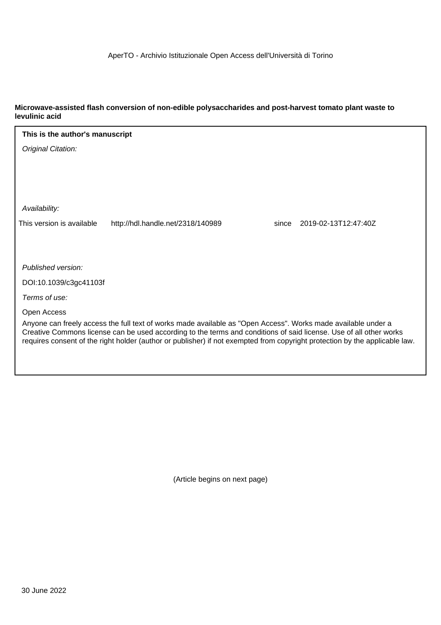### **Microwave-assisted flash conversion of non-edible polysaccharides and post-harvest tomato plant waste to levulinic acid**

| This is the author's manuscript                                                                                                                                                                                                     |                                   |       |                      |  |  |
|-------------------------------------------------------------------------------------------------------------------------------------------------------------------------------------------------------------------------------------|-----------------------------------|-------|----------------------|--|--|
| Original Citation:                                                                                                                                                                                                                  |                                   |       |                      |  |  |
|                                                                                                                                                                                                                                     |                                   |       |                      |  |  |
|                                                                                                                                                                                                                                     |                                   |       |                      |  |  |
|                                                                                                                                                                                                                                     |                                   |       |                      |  |  |
| Availability:                                                                                                                                                                                                                       |                                   |       |                      |  |  |
| This version is available                                                                                                                                                                                                           | http://hdl.handle.net/2318/140989 | since | 2019-02-13T12:47:40Z |  |  |
|                                                                                                                                                                                                                                     |                                   |       |                      |  |  |
|                                                                                                                                                                                                                                     |                                   |       |                      |  |  |
| Published version:                                                                                                                                                                                                                  |                                   |       |                      |  |  |
| DOI:10.1039/c3gc41103f                                                                                                                                                                                                              |                                   |       |                      |  |  |
| Terms of use:                                                                                                                                                                                                                       |                                   |       |                      |  |  |
| Open Access                                                                                                                                                                                                                         |                                   |       |                      |  |  |
| Anyone can freely access the full text of works made available as "Open Access". Works made available under a<br>Creative Commons license can be used according to the terms and conditions of said license. Use of all other works |                                   |       |                      |  |  |
| requires consent of the right holder (author or publisher) if not exempted from copyright protection by the applicable law.                                                                                                         |                                   |       |                      |  |  |
|                                                                                                                                                                                                                                     |                                   |       |                      |  |  |

(Article begins on next page)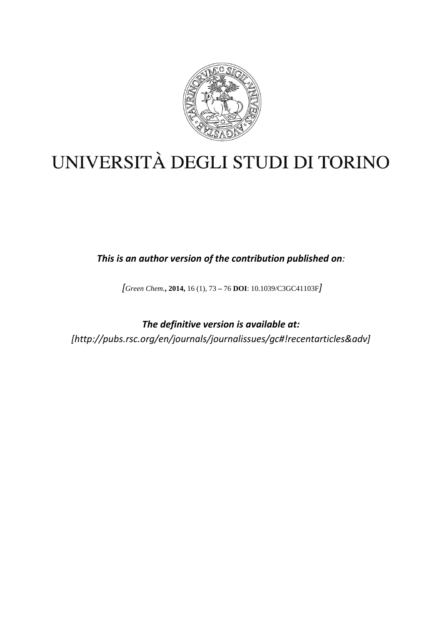

# UNIVERSITÀ DEGLI STUDI DI TORINO

*This is an author version of the contribution published on:*

*[Green Chem.***, 2014,** 16 (1), 73 **–** 76 **DOI**: 10.1039/C3GC41103F*]*

*The definitive version is available at: [http://pubs.rsc.org/en/journals/journalissues/gc#!recentarticles&adv]*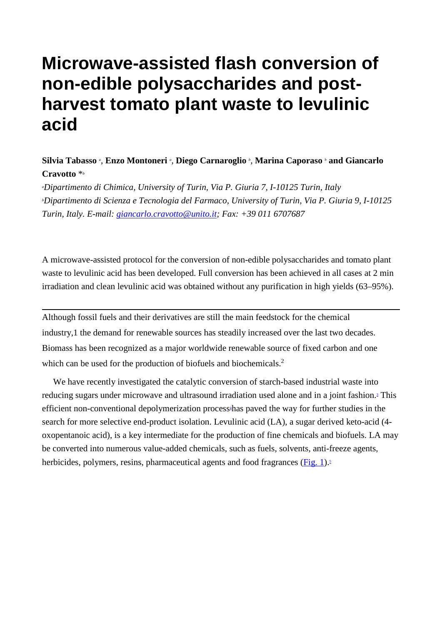# **Microwave-assisted flash conversion of non-edible polysaccharides and postharvest tomato plant waste to levulinic acid**

## **Silvia Tabasso** *<sup>a</sup>* , **Enzo Montoneri** *<sup>a</sup>* , **Diego Carnaroglio** *<sup>b</sup>* , **Marina Caporaso** *<sup>b</sup>* **and Giancarlo Cravotto** \**<sup>b</sup>*

*a Dipartimento di Chimica, University of Turin, Via P. Giuria 7, I-10125 Turin, Italy b Dipartimento di Scienza e Tecnologia del Farmaco, University of Turin, Via P. Giuria 9, I-10125 Turin, Italy. E-mail: [giancarlo.cravotto@unito.it;](mailto:giancarlo.cravotto@unito.it) Fax: +39 011 6707687*

A microwave-assisted protocol for the conversion of non-edible polysaccharides and tomato plant waste to levulinic acid has been developed. Full conversion has been achieved in all cases at 2 min irradiation and clean levulinic acid was obtained without any purification in high yields (63–95%).

Although fossil fuels and their derivatives are still the main feedstock for the chemical industry[,1](http://pubs.rsc.org/en/content/articlehtml/2014/gc/c3gc41103f%23cit1) the demand for renewable sources has steadily increased over the last two decades. Biomass has been recognized as a major worldwide renewable source of fixed carbon and one which can be used for the production of biofuels and biochemicals.<sup>2</sup>

We have recently investigated the catalytic conversion of starch-based industrial waste into reducing sugars under microwave and ultrasound irradiation used alone and in a joint fashion[.3](http://pubs.rsc.org/en/content/articlehtml/2014/gc/c3gc41103f%23cit3) This efficient non-conventional depolymerization process<sup>4</sup>has paved the way for further studies in the search for more selective end-product isolation. Levulinic acid (LA), a sugar derived keto-acid (4 oxopentanoic acid), is a key intermediate for the production of fine chemicals and biofuels. LA may be converted into numerous value-added chemicals, such as fuels, solvents, anti-freeze agents, herbicides, polymers, resins, pharmaceutical agents and food fragrances  $(Fig. 1)$ .<sup>5</sup>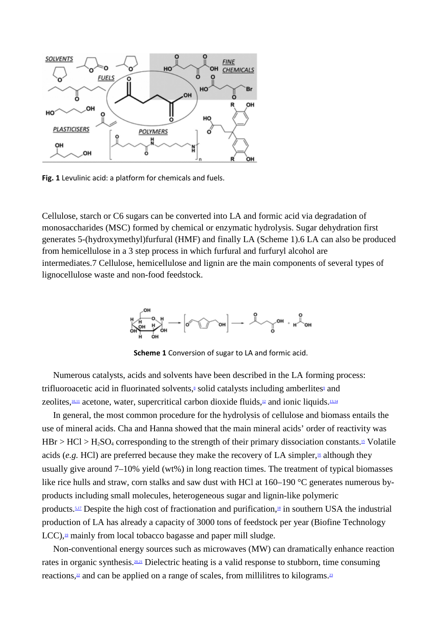

**Fig. 1** Levulinic acid: a platform for chemicals and fuels.

Cellulose, starch or C6 sugars can be converted into LA and formic acid via degradation of monosaccharides (MSC) formed by chemical or enzymatic hydrolysis. Sugar dehydration first generates 5-(hydroxymethyl)furfural (HMF) and finally LA [\(Scheme 1\)](http://pubs.rsc.org/en/content/articlehtml/2014/gc/c3gc41103f%23sch1)[.6](http://pubs.rsc.org/en/content/articlehtml/2014/gc/c3gc41103f%23cit6) LA can also be produced from hemicellulose in a 3 step process in which furfural and furfuryl alcohol are intermediates[.7](http://pubs.rsc.org/en/content/articlehtml/2014/gc/c3gc41103f%23cit7) Cellulose, hemicellulose and lignin are the main components of several types of lignocellulose waste and non-food feedstock.



**Scheme 1** Conversion of sugar to LA and formic acid.

Numerous catalysts, acids and solvents have been described in the LA forming process: trifluoroacetic acid in fluorinated solvents, $\frac{8}{3}$  solid catalysts including amberlites $\frac{9}{2}$  and zeolites,  $10,11$  acetone, water, supercritical carbon dioxide fluids,  $12$  and ionic liquids.  $13,14$ 

In general, the most common procedure for the hydrolysis of cellulose and biomass entails the use of mineral acids. Cha and Hanna showed that the main mineral acids' order of reactivity was  $HBr > HCl > H<sub>2</sub>SO<sub>4</sub> corresponding to the strength of their primary dissociation constants. In Volatile$ acids (*e.g.* HCl) are preferred because they make the recovery of LA simpler,<sup>16</sup> although they usually give around 7–10% yield (wt%) in long reaction times. The treatment of typical biomasses like rice hulls and straw, corn stalks and saw dust with HCl at 160–190 °C generates numerous byproducts including small molecules, heterogeneous sugar and lignin-like polymeric products[.5,17](http://pubs.rsc.org/en/content/articlehtml/2014/gc/c3gc41103f%23cit5) Despite the high cost of fractionation and purification[,18](http://pubs.rsc.org/en/content/articlehtml/2014/gc/c3gc41103f%23cit18) in southern USA the industrial production of LA has already a capacity of 3000 tons of feedstock per year (Biofine Technology  $LCC$ ),  $\frac{19}{2}$  mainly from local tobacco bagasse and paper mill sludge.

Non-conventional energy sources such as microwaves (MW) can dramatically enhance reaction rates in organic synthesis.<sup>20,21</sup> Dielectric heating is a valid response to stubborn, time consuming reactions, $\frac{2}{3}$  and can be applied on a range of scales, from millilitres to kilograms.<sup>23</sup>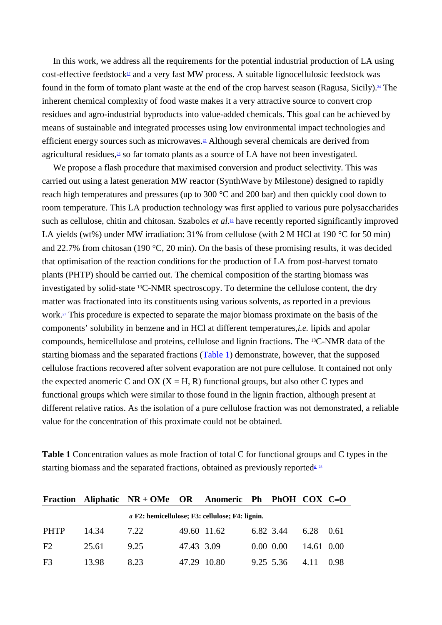In this work, we address all the requirements for the potential industrial production of LA using cost-effective feedstock $\mathbb{Z}$  and a very fast MW process. A suitable lignocellulosic feedstock was found in the form of tomato plant waste at the end of the crop harvest season (Ragusa, Sicily).<sup>24</sup> The inherent chemical complexity of food waste makes it a very attractive source to convert crop residues and agro-industrial byproducts into value-added chemicals. This goal can be achieved by means of sustainable and integrated processes using low environmental impact technologies and efficient energy sources such as microwaves.<sup>25</sup> Although several chemicals are derived from agricultural residues,<sup>26</sup> so far tomato plants as a source of LA have not been investigated.

We propose a flash procedure that maximised conversion and product selectivity. This was carried out using a latest generation MW reactor (SynthWave by Milestone) designed to rapidly reach high temperatures and pressures (up to 300 °C and 200 bar) and then quickly cool down to room temperature. This LA production technology was first applied to various pure polysaccharides such as cellulose, chitin and chitosan. Szabolcs *et al*.<sup>16</sup> have recently reported significantly improved LA yields (wt%) under MW irradiation: 31% from cellulose (with 2 M HCl at 190 °C for 50 min) and 22.7% from chitosan (190 °C, 20 min). On the basis of these promising results, it was decided that optimisation of the reaction conditions for the production of LA from post-harvest tomato plants (PHTP) should be carried out. The chemical composition of the starting biomass was investigated by solid-state 13C-NMR spectroscopy. To determine the cellulose content, the dry matter was fractionated into its constituents using various solvents, as reported in a previous work[.27](http://pubs.rsc.org/en/content/articlehtml/2014/gc/c3gc41103f%23cit27) This procedure is expected to separate the major biomass proximate on the basis of the components' solubility in benzene and in HCl at different temperatures,*i.e.* lipids and apolar compounds, hemicellulose and proteins, cellulose and lignin fractions. The 13C-NMR data of the starting biomass and the separated fractions [\(Table 1\)](http://pubs.rsc.org/en/content/articlehtml/2014/gc/c3gc41103f%23tab1) demonstrate, however, that the supposed cellulose fractions recovered after solvent evaporation are not pure cellulose. It contained not only the expected anomeric C and OX ( $X = H$ , R) functional groups, but also other C types and functional groups which were similar to those found in the lignin fraction, although present at different relative ratios. As the isolation of a pure cellulose fraction was not demonstrated, a reliable value for the concentration of this proximate could not be obtained.

| <b>Table 1</b> Concentration values as mole fraction of total C for functional groups and C types in the |  |
|----------------------------------------------------------------------------------------------------------|--|
| starting biomass and the separated fractions, obtained as previously reported $2^{\frac{28}{3}}$         |  |

|                |       | Fraction Aliphatic NR + OMe OR Anomeric Ph PhOH COX C=O |            |             |              |            |       |
|----------------|-------|---------------------------------------------------------|------------|-------------|--------------|------------|-------|
|                |       | <i>a</i> F2: hemicellulose; F3: cellulose; F4: lignin.  |            |             |              |            |       |
| <b>PHTP</b>    | 14.34 | 7.22                                                    |            | 49.60 11.62 | 6.82 3.44    | 6.28       | -0.61 |
| F2             | 25.61 | 9.25                                                    | 47.43 3.09 |             | $0.00\ 0.00$ | 14.61 0.00 |       |
| F <sub>3</sub> | 13.98 | 8.23                                                    |            | 47.29 10.80 | 9.25 5.36    | 4.11       | 0.98  |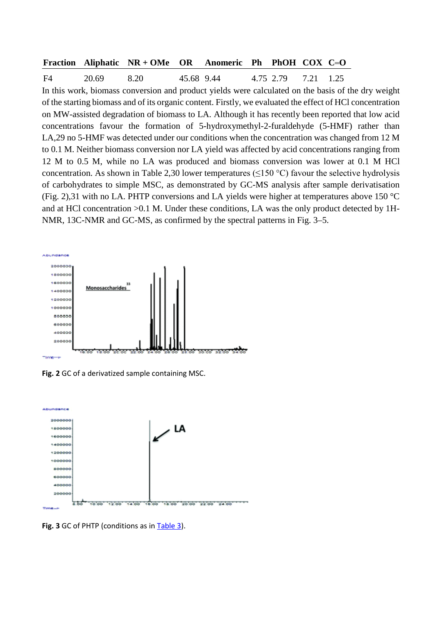#### **Fraction Aliphatic NR + OMe OR Anomeric Ph PhOH COX C O**

F4 20.69 8.20 45.68 9.44 4.75 2.79 7.21 1.25 In this work, biomass conversion and product yields were calculated on the basis of the dry weight of the starting biomass and of its organic content. Firstly, we evaluated the effect of HCl concentration on MW-assisted degradation of biomass to LA. Although it has recently been reported that low acid concentrations favour the formation of 5-hydroxymethyl-2-furaldehyde (5-HMF) rather than LA[,29](http://pubs.rsc.org/en/content/articlehtml/2014/gc/c3gc41103f%23cit29) no 5-HMF was detected under our conditions when the concentration was changed from 12 M to 0.1 M. Neither biomass conversion nor LA yield was affected by acid concentrations ranging from 12 M to 0.5 M, while no LA was produced and biomass conversion was lower at 0.1 M HCl concentration. As shown in [Table 2](http://pubs.rsc.org/en/content/articlehtml/2014/gc/c3gc41103f%23tab2)[,30](http://pubs.rsc.org/en/content/articlehtml/2014/gc/c3gc41103f%23cit30) lower temperatures ( $\leq$ 150 °C) favour the selective hydrolysis of carbohydrates to simple MSC, as demonstrated by GC-MS analysis after sample derivatisation [\(Fig. 2\)](http://pubs.rsc.org/en/content/articlehtml/2014/gc/c3gc41103f%23fig2)[,31](http://pubs.rsc.org/en/content/articlehtml/2014/gc/c3gc41103f%23cit31) with no LA. PHTP conversions and LA yields were higher at temperatures above 150 °C and at HCl concentration >0.1 M. Under these conditions, LA was the only product detected by 1H-NMR, 13C-NMR and GC-MS, as confirmed by the spectral patterns in [Fig. 3–5.](http://pubs.rsc.org/en/content/articlehtml/2014/gc/c3gc41103f%23fig3)



**Fig. 2** GC of a derivatized sample containing MSC.



**Fig. 3** GC of PHTP (conditions as in [Table 3\)](http://pubs.rsc.org/en/content/articlehtml/2014/gc/c3gc41103f%23tab3).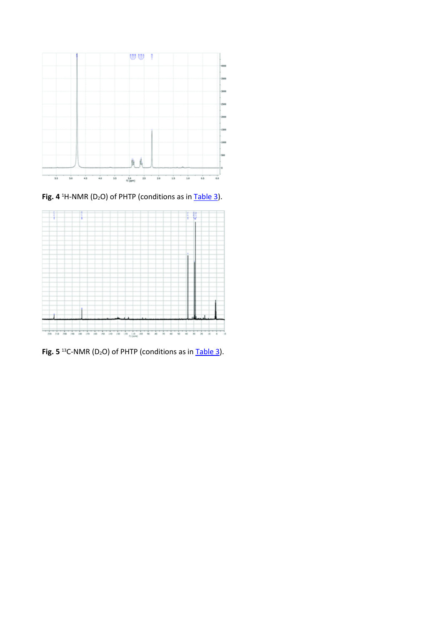

**Fig. 4** <sup>1</sup>H-NMR (D<sub>2</sub>O) of PHTP (conditions as in **[Table 3\)](http://pubs.rsc.org/en/content/articlehtml/2014/gc/c3gc41103f%23tab3)**.



**Fig. 5** <sup>13</sup>C-NMR (D<sub>2</sub>O) of PHTP (conditions as in [Table 3\)](http://pubs.rsc.org/en/content/articlehtml/2014/gc/c3gc41103f%23tab3).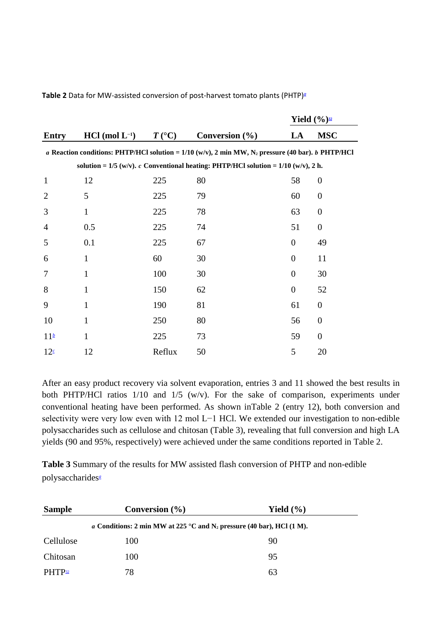|                 |                                                                                        |                  |                                                                                                               | Yield $(\frac{6}{9})^{\frac{32}{2}}$ |                  |  |  |
|-----------------|----------------------------------------------------------------------------------------|------------------|---------------------------------------------------------------------------------------------------------------|--------------------------------------|------------------|--|--|
| <b>Entry</b>    | $HCl (mol L^{-1})$                                                                     | $T({}^{\circ}C)$ | Conversion $(\% )$                                                                                            | LA                                   | <b>MSC</b>       |  |  |
|                 |                                                                                        |                  | a Reaction conditions: PHTP/HCl solution = 1/10 (w/v), 2 min MW, N <sub>2</sub> pressure (40 bar). b PHTP/HCl |                                      |                  |  |  |
|                 | solution = $1/5$ (w/v). c Conventional heating: PHTP/HCl solution = $1/10$ (w/v), 2 h. |                  |                                                                                                               |                                      |                  |  |  |
| $\mathbf{1}$    | 12                                                                                     | 225              | 80                                                                                                            | 58                                   | $\boldsymbol{0}$ |  |  |
| $\overline{2}$  | 5                                                                                      | 225              | 79                                                                                                            | 60                                   | $\boldsymbol{0}$ |  |  |
| 3               | $\mathbf{1}$                                                                           | 225              | 78                                                                                                            | 63                                   | $\boldsymbol{0}$ |  |  |
| $\overline{4}$  | 0.5                                                                                    | 225              | 74                                                                                                            | 51                                   | $\overline{0}$   |  |  |
| 5               | 0.1                                                                                    | 225              | 67                                                                                                            | $\overline{0}$                       | 49               |  |  |
| 6               | $\mathbf{1}$                                                                           | 60               | 30                                                                                                            | $\boldsymbol{0}$                     | 11               |  |  |
| 7               | $\mathbf{1}$                                                                           | 100              | 30                                                                                                            | $\overline{0}$                       | 30               |  |  |
| 8               | $\mathbf{1}$                                                                           | 150              | 62                                                                                                            | $\overline{0}$                       | 52               |  |  |
| 9               | $\mathbf{1}$                                                                           | 190              | 81                                                                                                            | 61                                   | $\boldsymbol{0}$ |  |  |
| 10              | $\mathbf{1}$                                                                           | 250              | 80                                                                                                            | 56                                   | $\boldsymbol{0}$ |  |  |
| 11 <sup>b</sup> | $\mathbf{1}$                                                                           | 225              | 73                                                                                                            | 59                                   | $\overline{0}$   |  |  |
| 12 <sup>c</sup> | 12                                                                                     | Reflux           | 50                                                                                                            | 5                                    | 20               |  |  |

**Table 2** Data for MW-assisted conversion of post-harvest tomato plants (PHTP[\)](http://pubs.rsc.org/en/content/articlehtml/2014/gc/c3gc41103f%23tab2fna)*<sup>a</sup>*

After an easy product recovery via solvent evaporation, entries 3 and 11 showed the best results in both PHTP/HCl ratios 1/10 and 1/5 (w/v). For the sake of comparison, experiments under conventional heating have been performed. As shown i[nTable 2](http://pubs.rsc.org/en/content/articlehtml/2014/gc/c3gc41103f%23tab2) (entry 12), both conversion and selectivity were very low even with 12 mol L−1 HCl. We extended our investigation to non-edible polysaccharides such as cellulose and chitosan [\(Table 3\)](http://pubs.rsc.org/en/content/articlehtml/2014/gc/c3gc41103f%23tab3), revealing that full conversion and high LA yields (90 and 95%, respectively) were achieved under the same conditions reported in [Table 2.](http://pubs.rsc.org/en/content/articlehtml/2014/gc/c3gc41103f%23tab2)

**Table 3** Summary of the results for MW assisted flash conversion of PHTP and non-edible polysaccharide[s](http://pubs.rsc.org/en/content/articlehtml/2014/gc/c3gc41103f%23tab3fna)*<sup>a</sup>*

| <b>Sample</b> | Conversion $(\% )$                                                       | Yield $(\% )$ |  |
|---------------|--------------------------------------------------------------------------|---------------|--|
|               | a Conditions: 2 min MW at 225 °C and $N_2$ pressure (40 bar), HCl (1 M). |               |  |
| Cellulose     | 100                                                                      | 90            |  |
| Chitosan      | 100                                                                      | 95            |  |
| $PHTP_{32}$   | 78                                                                       | 63            |  |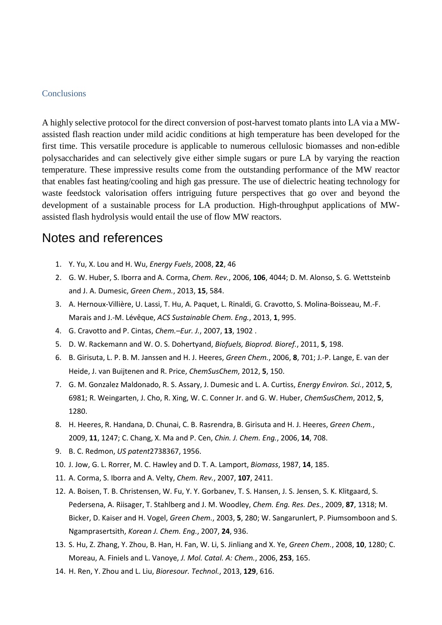#### **Conclusions**

A highly selective protocol for the direct conversion of post-harvest tomato plants into LA via a MWassisted flash reaction under mild acidic conditions at high temperature has been developed for the first time. This versatile procedure is applicable to numerous cellulosic biomasses and non-edible polysaccharides and can selectively give either simple sugars or pure LA by varying the reaction temperature. These impressive results come from the outstanding performance of the MW reactor that enables fast heating/cooling and high gas pressure. The use of dielectric heating technology for waste feedstock valorisation offers intriguing future perspectives that go over and beyond the development of a sustainable process for LA production. High-throughput applications of MWassisted flash hydrolysis would entail the use of flow MW reactors.

# Notes and references

- 1. Y. Yu, X. Lou and H. Wu, *Energy Fuels*, 2008, **22**, 46
- 2. G. W. Huber, S. Iborra and A. Corma, *Chem. Rev.*, 2006, **106**, 4044; D. M. Alonso, S. G. Wettsteinb and J. A. Dumesic, *Green Chem.*, 2013, **15**, 584.
- 3. A. Hernoux-Villière, U. Lassi, T. Hu, A. Paquet, L. Rinaldi, G. Cravotto, S. Molina-Boisseau, M.-F. Marais and J.-M. Lévêque, *ACS Sustainable Chem. Eng.*, 2013, **1**, 995.
- 4. G. Cravotto and P. Cintas, *Chem.–Eur. J.*, 2007, **13**, 1902 .
- 5. D. W. Rackemann and W. O. S. Dohertyand, *Biofuels, Bioprod. Bioref.*, 2011, **5**, 198.
- 6. B. Girisuta, L. P. B. M. Janssen and H. J. Heeres, *Green Chem.*, 2006, **8**, 701; J.-P. Lange, E. van der Heide, J. van Buijtenen and R. Price, *ChemSusChem*, 2012, **5**, 150.
- 7. G. M. Gonzalez Maldonado, R. S. Assary, J. Dumesic and L. A. Curtiss, *Energy Environ. Sci.*, 2012, **5**, 6981; R. Weingarten, J. Cho, R. Xing, W. C. Conner Jr. and G. W. Huber, *ChemSusChem*, 2012, **5**, 1280.
- 8. H. Heeres, R. Handana, D. Chunai, C. B. Rasrendra, B. Girisuta and H. J. Heeres, *Green Chem.*, 2009, **11**, 1247; C. Chang, X. Ma and P. Cen, *Chin. J. Chem. Eng.*, 2006, **14**, 708.
- 9. B. C. Redmon, *US patent*2738367, 1956.
- 10. J. Jow, G. L. Rorrer, M. C. Hawley and D. T. A. Lamport, *Biomass*, 1987, **14**, 185.
- 11. A. Corma, S. Iborra and A. Velty, *Chem. Rev.*, 2007, **107**, 2411.
- 12. A. Boisen, T. B. Christensen, W. Fu, Y. Y. Gorbanev, T. S. Hansen, J. S. Jensen, S. K. Klitgaard, S. Pedersena, A. Riisager, T. Stahlberg and J. M. Woodley, *Chem. Eng. Res. Des.*, 2009, **87**, 1318; M. Bicker, D. Kaiser and H. Vogel, *Green Chem.*, 2003, **5**, 280; W. Sangarunlert, P. Piumsomboon and S. Ngamprasertsith, *Korean J. Chem. Eng.*, 2007, **24**, 936.
- 13. S. Hu, Z. Zhang, Y. Zhou, B. Han, H. Fan, W. Li, S. Jinliang and X. Ye, *Green Chem.*, 2008, **10**, 1280; C. Moreau, A. Finiels and L. Vanoye, *J. Mol. Catal. A: Chem.*, 2006, **253**, 165.
- 14. H. Ren, Y. Zhou and L. Liu, *Bioresour. Technol.*, 2013, **129**, 616.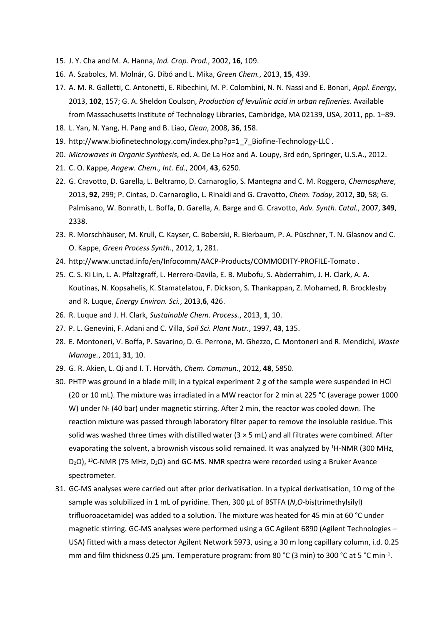- 15. J. Y. Cha and M. A. Hanna, *Ind. Crop. Prod.*, 2002, **16**, 109.
- 16. A. Szabolcs, M. Molnár, G. Dibó and L. Mika, *Green Chem.*, 2013, **15**, 439.
- 17. A. M. R. Galletti, C. Antonetti, E. Ribechini, M. P. Colombini, N. N. Nassi and E. Bonari, *Appl. Energy*, 2013, **102**, 157; G. A. Sheldon Coulson, *Production of levulinic acid in urban refineries*. Available from Massachusetts Institute of Technology Libraries, Cambridge, MA 02139, USA, 2011, pp. 1–89.
- 18. L. Yan, N. Yang, H. Pang and B. Liao, *Clean*, 2008, **36**, 158.
- 19. http://www.biofinetechnology.com/index.php?p=1\_7\_Biofine-Technology-LLC .
- 20. *Microwaves in Organic Synthesis*, ed. A. De La Hoz and A. Loupy, 3rd edn, Springer, U.S.A., 2012.
- 21. C. O. Kappe, *Angew. Chem., Int. Ed.*, 2004, **43**, 6250.
- 22. G. Cravotto, D. Garella, L. Beltramo, D. Carnaroglio, S. Mantegna and C. M. Roggero, *Chemosphere*, 2013, **92**, 299; P. Cintas, D. Carnaroglio, L. Rinaldi and G. Cravotto, *Chem. Today*, 2012, **30**, 58; G. Palmisano, W. Bonrath, L. Boffa, D. Garella, A. Barge and G. Cravotto, *Adv. Synth. Catal.*, 2007, **349**, 2338.
- 23. R. Morschhäuser, M. Krull, C. Kayser, C. Boberski, R. Bierbaum, P. A. Püschner, T. N. Glasnov and C. O. Kappe, *Green Process Synth.*, 2012, **1**, 281.
- 24. http://www.unctad.info/en/Infocomm/AACP-Products/COMMODITY-PROFILE-Tomato .
- 25. C. S. Ki Lin, L. A. Pfaltzgraff, L. Herrero-Davila, E. B. Mubofu, S. Abderrahim, J. H. Clark, A. A. Koutinas, N. Kopsahelis, K. Stamatelatou, F. Dickson, S. Thankappan, Z. Mohamed, R. Brocklesby and R. Luque, *Energy Environ. Sci.*, 2013,**6**, 426.
- 26. R. Luque and J. H. Clark, *Sustainable Chem. Process.*, 2013, **1**, 10.
- 27. P. L. Genevini, F. Adani and C. Villa, *Soil Sci. Plant Nutr.*, 1997, **43**, 135.
- 28. E. Montoneri, V. Boffa, P. Savarino, D. G. Perrone, M. Ghezzo, C. Montoneri and R. Mendichi, *Waste Manage.*, 2011, **31**, 10.
- 29. G. R. Akien, L. Qi and I. T. Horváth, *Chem. Commun.*, 2012, **48**, 5850.
- 30. PHTP was ground in a blade mill; in a typical experiment 2 g of the sample were suspended in HCl (20 or 10 mL). The mixture was irradiated in a MW reactor for 2 min at 225 °C (average power 1000 W) under N<sub>2</sub> (40 bar) under magnetic stirring. After 2 min, the reactor was cooled down. The reaction mixture was passed through laboratory filter paper to remove the insoluble residue. This solid was washed three times with distilled water ( $3 \times 5$  mL) and all filtrates were combined. After evaporating the solvent, a brownish viscous solid remained. It was analyzed by <sup>1</sup>H-NMR (300 MHz, D<sub>2</sub>O), <sup>13</sup>C-NMR (75 MHz, D<sub>2</sub>O) and GC-MS. NMR spectra were recorded using a Bruker Avance spectrometer.
- 31. GC-MS analyses were carried out after prior derivatisation. In a typical derivatisation, 10 mg of the sample was solubilized in 1 mL of pyridine. Then, 300 μL of BSTFA (*N*,*O*-bis(trimethylsilyl) trifluoroacetamide) was added to a solution. The mixture was heated for 45 min at 60 °C under magnetic stirring. GC-MS analyses were performed using a GC Agilent 6890 (Agilent Technologies -USA) fitted with a mass detector Agilent Network 5973, using a 30 m long capillary column, i.d. 0.25 mm and film thickness 0.25 μm. Temperature program: from 80 °C (3 min) to 300 °C at 5 °C min<sup>-1</sup>.